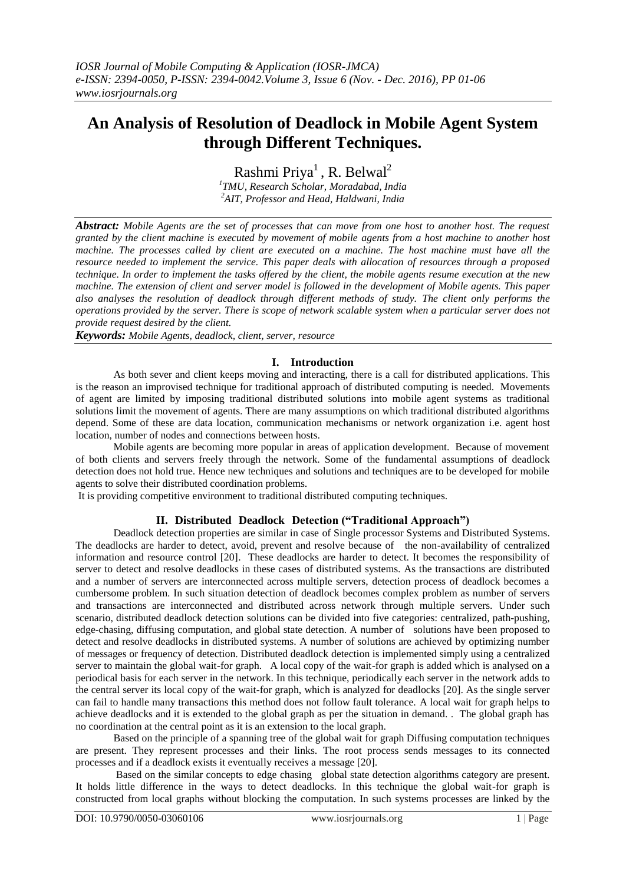# **An Analysis of Resolution of Deadlock in Mobile Agent System through Different Techniques.**

Rashmi Priya<sup>1</sup>, R. Belwal<sup>2</sup>

*1 TMU, Research Scholar, Moradabad, India <sup>2</sup>AIT, Professor and Head, Haldwani, India*

*Abstract: Mobile Agents are the set of processes that can move from one host to another host. The request granted by the client machine is executed by movement of mobile agents from a host machine to another host machine. The processes called by client are executed on a machine. The host machine must have all the resource needed to implement the service. This paper deals with allocation of resources through a proposed technique. In order to implement the tasks offered by the client, the mobile agents resume execution at the new machine. The extension of client and server model is followed in the development of Mobile agents. This paper also analyses the resolution of deadlock through different methods of study. The client only performs the operations provided by the server. There is scope of network scalable system when a particular server does not provide request desired by the client.* 

*Keywords: Mobile Agents, deadlock, client, server, resource* 

# **I. Introduction**

As both sever and client keeps moving and interacting, there is a call for distributed applications. This is the reason an improvised technique for traditional approach of distributed computing is needed. Movements of agent are limited by imposing traditional distributed solutions into mobile agent systems as traditional solutions limit the movement of agents. There are many assumptions on which traditional distributed algorithms depend. Some of these are data location, communication mechanisms or network organization i.e. agent host location, number of nodes and connections between hosts.

Mobile agents are becoming more popular in areas of application development. Because of movement of both clients and servers freely through the network. Some of the fundamental assumptions of deadlock detection does not hold true. Hence new techniques and solutions and techniques are to be developed for mobile agents to solve their distributed coordination problems.

It is providing competitive environment to traditional distributed computing techniques.

# **II. Distributed Deadlock Detection ("Traditional Approach")**

Deadlock detection properties are similar in case of Single processor Systems and Distributed Systems. The deadlocks are harder to detect, avoid, prevent and resolve because of the non-availability of centralized information and resource control [20]. These deadlocks are harder to detect. It becomes the responsibility of server to detect and resolve deadlocks in these cases of distributed systems. As the transactions are distributed and a number of servers are interconnected across multiple servers, detection process of deadlock becomes a cumbersome problem. In such situation detection of deadlock becomes complex problem as number of servers and transactions are interconnected and distributed across network through multiple servers. Under such scenario, distributed deadlock detection solutions can be divided into five categories: centralized, path-pushing, edge-chasing, diffusing computation, and global state detection. A number of solutions have been proposed to detect and resolve deadlocks in distributed systems. A number of solutions are achieved by optimizing number of messages or frequency of detection. Distributed deadlock detection is implemented simply using a centralized server to maintain the global wait-for graph. A local copy of the wait-for graph is added which is analysed on a periodical basis for each server in the network. In this technique, periodically each server in the network adds to the central server its local copy of the wait-for graph, which is analyzed for deadlocks [20]. As the single server can fail to handle many transactions this method does not follow fault tolerance. A local wait for graph helps to achieve deadlocks and it is extended to the global graph as per the situation in demand. . The global graph has no coordination at the central point as it is an extension to the local graph.

Based on the principle of a spanning tree of the global wait for graph Diffusing computation techniques are present. They represent processes and their links. The root process sends messages to its connected processes and if a deadlock exists it eventually receives a message [20].

Based on the similar concepts to edge chasing global state detection algorithms category are present. It holds little difference in the ways to detect deadlocks. In this technique the global wait-for graph is constructed from local graphs without blocking the computation. In such systems processes are linked by the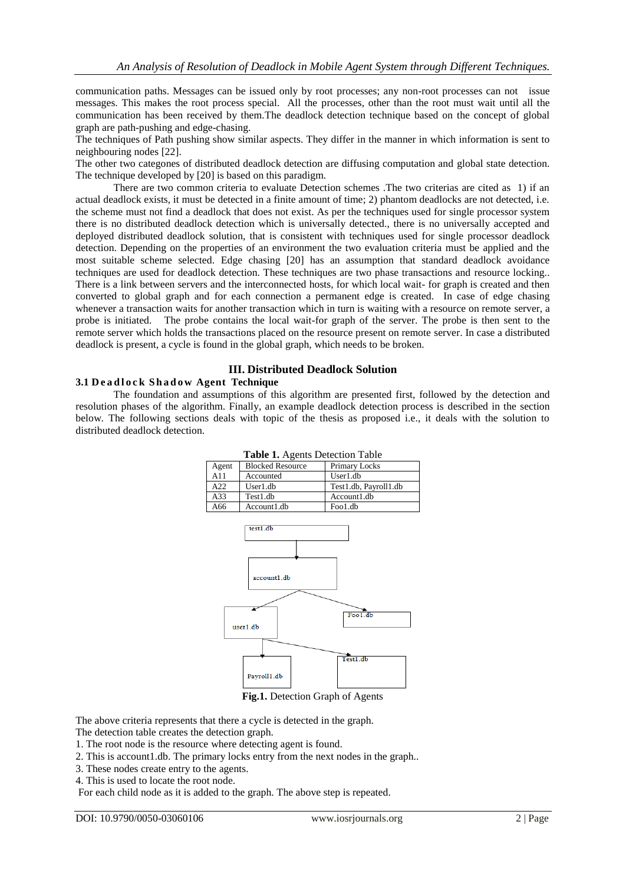communication paths. Messages can be issued only by root processes; any non-root processes can not issue messages. This makes the root process special. All the processes, other than the root must wait until all the communication has been received by them.The deadlock detection technique based on the concept of global graph are path-pushing and edge-chasing.

The techniques of Path pushing show similar aspects. They differ in the manner in which information is sent to neighbouring nodes [22].

The other two categones of distributed deadlock detection are diffusing computation and global state detection. The technique developed by [20] is based on this paradigm.

There are two common criteria to evaluate Detection schemes .The two criterias are cited as 1) if an actual deadlock exists, it must be detected in a finite amount of time; 2) phantom deadlocks are not detected, i.e. the scheme must not find a deadlock that does not exist. As per the techniques used for single processor system there is no distributed deadlock detection which is universally detected., there is no universally accepted and deployed distributed deadlock solution, that is consistent with techniques used for single processor deadlock detection. Depending on the properties of an environment the two evaluation criteria must be applied and the most suitable scheme selected. Edge chasing [20] has an assumption that standard deadlock avoidance techniques are used for deadlock detection. These techniques are two phase transactions and resource locking.. There is a link between servers and the interconnected hosts, for which local wait- for graph is created and then converted to global graph and for each connection a permanent edge is created. In case of edge chasing whenever a transaction waits for another transaction which in turn is waiting with a resource on remote server, a probe is initiated. The probe contains the local wait-for graph of the server. The probe is then sent to the remote server which holds the transactions placed on the resource present on remote server. In case a distributed deadlock is present, a cycle is found in the global graph, which needs to be broken.

# **III. Distributed Deadlock Solution**

## **3.1 D e a d l o c k S h a d o w Agent Technique**

The foundation and assumptions of this algorithm are presented first, followed by the detection and resolution phases of the algorithm. Finally, an example deadlock detection process is described in the section below. The following sections deals with topic of the thesis as proposed i.e., it deals with the solution to distributed deadlock detection.

| <b>Table 1.</b> Agents Detection Table |                         |                       |  |  |
|----------------------------------------|-------------------------|-----------------------|--|--|
| Agent                                  | <b>Blocked Resource</b> | Primary Locks         |  |  |
| A11                                    | Accounted               | User1.db              |  |  |
| A22                                    | User1.db                | Test1.db, Payroll1.db |  |  |
| A33                                    | Test1.db                | Account1.db           |  |  |
| A66                                    | Account1.db             | Foo1.db               |  |  |

**Table 1.** Agents Detection Table



**Fig.1.** Detection Graph of Agents

The above criteria represents that there a cycle is detected in the graph.

- The detection table creates the detection graph.
- 1. The root node is the resource where detecting agent is found.
- 2. This is account1.db. The primary locks entry from the next nodes in the graph..
- 3. These nodes create entry to the agents.
- 4. This is used to locate the root node.

For each child node as it is added to the graph. The above step is repeated.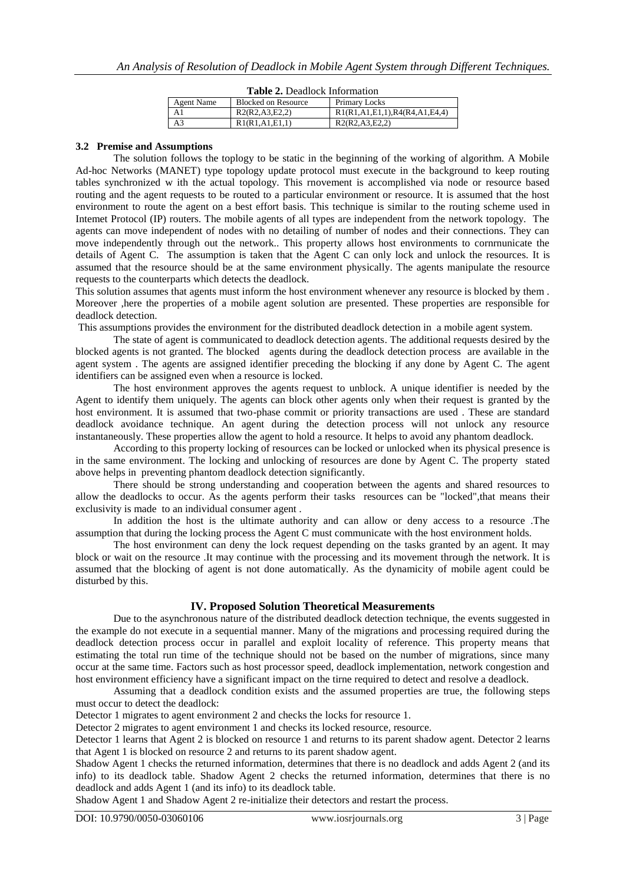| <b>Table 2.</b> Deachock Information |                            |                                |  |
|--------------------------------------|----------------------------|--------------------------------|--|
| Agent Name                           | <b>Blocked on Resource</b> | Primary Locks                  |  |
|                                      | R2(R2.A3.E2.2)             | R1(R1,A1,E1,1), R4(R4,A1,E4,4) |  |
| A3                                   | R1(R1.A1.E1.1)             | R2(R2.A3.E2.2)                 |  |

#### **Table 2.** Deadlock Information

## **3.2 Premise and Assumptions**

The solution follows the toplogy to be static in the beginning of the working of algorithm. A Mobile Ad-hoc Networks (MANET) type topology update protocol must execute in the background to keep routing tables synchronized w ith the actual topology. This rnovement is accomplished via node or resource based routing and the agent requests to be routed to a particular environment or resource. It is assumed that the host environment to route the agent on a best effort basis. This technique is similar to the routing scheme used in Intemet Protocol (IP) routers. The mobile agents of all types are independent from the network topology. The agents can move independent of nodes with no detailing of number of nodes and their connections. They can move independently through out the network.. This property allows host environments to cornrnunicate the details of Agent C. The assumption is taken that the Agent C can only lock and unlock the resources. It is assumed that the resource should be at the same environment physically. The agents manipulate the resource requests to the counterparts which detects the deadlock.

This solution assumes that agents must inform the host environment whenever any resource is blocked by them . Moreover ,here the properties of a mobile agent solution are presented. These properties are responsible for deadlock detection.

This assumptions provides the environment for the distributed deadlock detection in a mobile agent system.

The state of agent is communicated to deadlock detection agents. The additional requests desired by the blocked agents is not granted. The blocked agents during the deadlock detection process are available in the agent system . The agents are assigned identifier preceding the blocking if any done by Agent C. The agent identifiers can be assigned even when a resource is locked.

The host environment approves the agents request to unblock. A unique identifier is needed by the Agent to identify them uniquely. The agents can block other agents only when their request is granted by the host environment. It is assumed that two-phase commit or priority transactions are used . These are standard deadlock avoidance technique. An agent during the detection process will not unlock any resource instantaneously. These properties allow the agent to hold a resource. It helps to avoid any phantom deadlock.

According to this property locking of resources can be locked or unlocked when its physical presence is in the same environment. The locking and unlocking of resources are done by Agent C. The property stated above helps in preventing phantom deadlock detection significantly.

There should be strong understanding and cooperation between the agents and shared resources to allow the deadlocks to occur. As the agents perform their tasks resources can be "locked",that means their exclusivity is made to an individual consumer agent .

In addition the host is the ultimate authority and can allow or deny access to a resource .The assumption that during the locking process the Agent C must communicate with the host environment holds.

The host environment can deny the lock request depending on the tasks granted by an agent. It may block or wait on the resource .It may continue with the processing and its movement through the network. It is assumed that the blocking of agent is not done automatically. As the dynamicity of mobile agent could be disturbed by this.

## **IV. Proposed Solution Theoretical Measurements**

Due to the asynchronous nature of the distributed deadlock detection technique, the events suggested in the example do not execute in a sequential manner. Many of the migrations and processing required during the deadlock detection process occur in parallel and exploit locality of reference. This property means that estimating the total run time of the technique should not be based on the number of migrations, since many occur at the same time. Factors such as host processor speed, deadlock implementation, network congestion and host environment efficiency have a significant impact on the tirne required to detect and resolve a deadlock.

Assuming that a deadlock condition exists and the assumed properties are true, the following steps must occur to detect the deadlock:

Detector 1 migrates to agent environment 2 and checks the locks for resource 1.

Detector 2 migrates to agent environment 1 and checks its locked resource, resource.

Detector 1 learns that Agent 2 is blocked on resource 1 and returns to its parent shadow agent. Detector 2 learns that Agent 1 is blocked on resource 2 and returns to its parent shadow agent.

Shadow Agent 1 checks the returned information, determines that there is no deadlock and adds Agent 2 (and its info) to its deadlock table. Shadow Agent 2 checks the returned information, determines that there is no deadlock and adds Agent 1 (and its info) to its deadlock table.

Shadow Agent 1 and Shadow Agent 2 re-initialize their detectors and restart the process.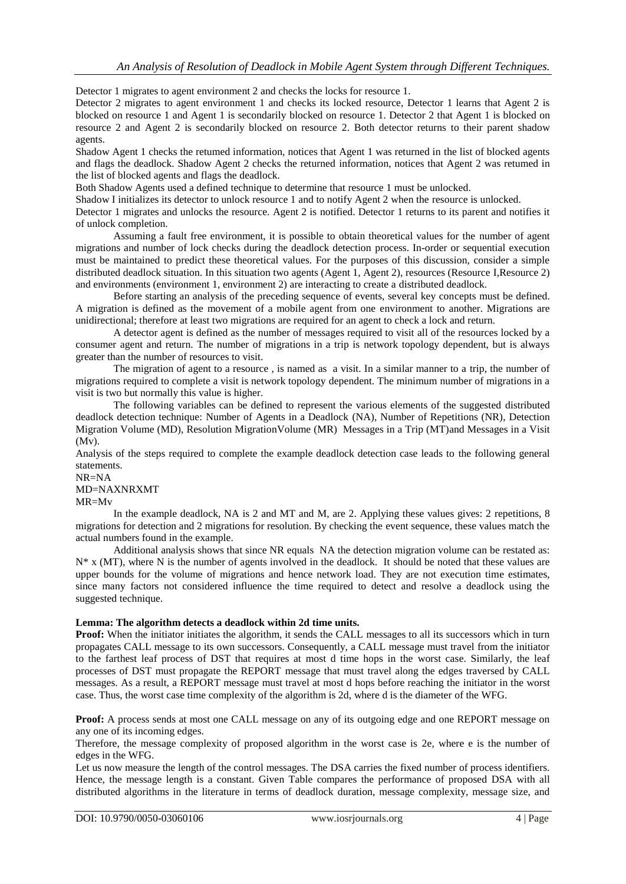Detector 1 migrates to agent environment 2 and checks the locks for resource 1.

Detector 2 migrates to agent environment 1 and checks its locked resource, Detector 1 learns that Agent 2 is blocked on resource 1 and Agent 1 is secondarily blocked on resource 1. Detector 2 that Agent 1 is blocked on resource 2 and Agent 2 is secondarily blocked on resource 2. Both detector returns to their parent shadow agents.

Shadow Agent 1 checks the retumed information, notices that Agent 1 was returned in the list of blocked agents and flags the deadlock. Shadow Agent 2 checks the returned information, notices that Agent 2 was retumed in the list of blocked agents and flags the deadlock.

Both Shadow Agents used a defined technique to determine that resource 1 must be unlocked.

Shadow I initializes its detector to unlock resource 1 and to notify Agent 2 when the resource is unlocked. Detector 1 migrates and unlocks the resource. Agent 2 is notified. Detector 1 returns to its parent and notifies it of unlock completion.

Assuming a fault free environment, it is possible to obtain theoretical values for the number of agent migrations and number of lock checks during the deadlock detection process. In-order or sequential execution must be maintained to predict these theoretical values. For the purposes of this discussion, consider a simple distributed deadlock situation. In this situation two agents (Agent 1, Agent 2), resources (Resource I,Resource 2) and environments (environment 1, environment 2) are interacting to create a distributed deadlock.

Before starting an analysis of the preceding sequence of events, several key concepts must be defined. A migration is defined as the movement of a mobile agent from one environment to another. Migrations are unidirectional; therefore at least two migrations are required for an agent to check a lock and return.

A detector agent is defined as the number of messages required to visit all of the resources locked by a consumer agent and return. The number of migrations in a trip is network topology dependent, but is always greater than the number of resources to visit.

The migration of agent to a resource , is named as a visit. In a similar manner to a trip, the number of migrations required to complete a visit is network topology dependent. The minimum number of migrations in a visit is two but normally this value is higher.

The following variables can be defined to represent the various elements of the suggested distributed deadlock detection technique: Number of Agents in a Deadlock (NA), Number of Repetitions (NR), Detection Migration Volume (MD), Resolution MigrationVolume (MR) Messages in a Trip (MT)and Messages in a Visit (Mv).

Analysis of the steps required to complete the example deadlock detection case leads to the following general statements.

#### NR=NA MD=NAXNRXMT  $MR=Mv$

In the example deadlock, NA is 2 and MT and M, are 2. Applying these values gives: 2 repetitions, 8 migrations for detection and 2 migrations for resolution. By checking the event sequence, these values match the actual numbers found in the example.

Additional analysis shows that since NR equals NA the detection migration volume can be restated as:  $N^*$  x (MT), where N is the number of agents involved in the deadlock. It should be noted that these values are upper bounds for the volume of migrations and hence network load. They are not execution time estimates, since many factors not considered influence the time required to detect and resolve a deadlock using the suggested technique.

## **Lemma: The algorithm detects a deadlock within 2d time units.**

**Proof:** When the initiator initiates the algorithm, it sends the CALL messages to all its successors which in turn propagates CALL message to its own successors. Consequently, a CALL message must travel from the initiator to the farthest leaf process of DST that requires at most d time hops in the worst case. Similarly, the leaf processes of DST must propagate the REPORT message that must travel along the edges traversed by CALL messages. As a result, a REPORT message must travel at most d hops before reaching the initiator in the worst case. Thus, the worst case time complexity of the algorithm is 2d, where d is the diameter of the WFG.

**Proof:** A process sends at most one CALL message on any of its outgoing edge and one REPORT message on any one of its incoming edges.

Therefore, the message complexity of proposed algorithm in the worst case is 2e, where e is the number of edges in the WFG.

Let us now measure the length of the control messages. The DSA carries the fixed number of process identifiers. Hence, the message length is a constant. Given Table compares the performance of proposed DSA with all distributed algorithms in the literature in terms of deadlock duration, message complexity, message size, and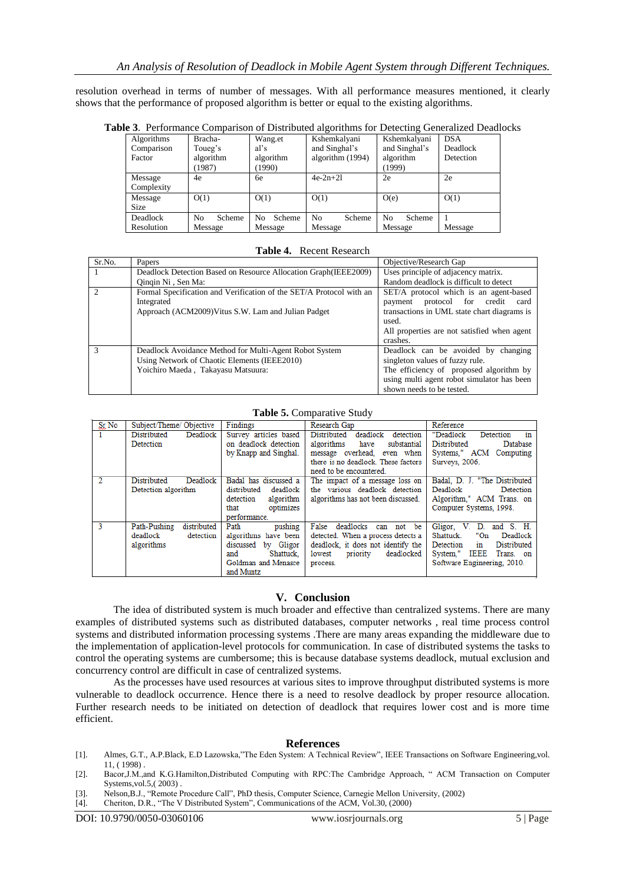resolution overhead in terms of number of messages. With all performance measures mentioned, it clearly shows that the performance of proposed algorithm is better or equal to the existing algorithms.

**Table 3**. Performance Comparison of Distributed algorithms for Detecting Generalized Deadlocks

| Algorithms  | Bracha-      | Wang.et                  | Kshemkalyani     | Kshemkalyani  | <b>DSA</b> |
|-------------|--------------|--------------------------|------------------|---------------|------------|
| Comparison  | Toueg's      | al's                     | and Singhal's    | and Singhal's | Deadlock   |
| Factor      | algorithm    | algorithm                | algorithm (1994) | algorithm     | Detection  |
|             | (1987)       | 1990)                    |                  | (1999)        |            |
| Message     | 4e           | бe                       | $4e-2n+21$       | 2e            | 2e         |
| Complexity  |              |                          |                  |               |            |
| Message     | O(1)         | O(1)                     | O(1)             | O(e)          | O(1)       |
| <b>Size</b> |              |                          |                  |               |            |
| Deadlock    | No<br>Scheme | Scheme<br>N <sub>0</sub> | No<br>Scheme     | Scheme<br>No  |            |
| Resolution  | Message      | Message                  | Message          | Message       | Message    |

| Sr.No.        | Papers                                                              | Objective/Research Gap                      |
|---------------|---------------------------------------------------------------------|---------------------------------------------|
|               | Deadlock Detection Based on Resource Allocation Graph (IEEE2009)    | Uses principle of adjacency matrix.         |
|               | Oingin Ni, Sen Ma:                                                  | Random deadlock is difficult to detect      |
| $\mathcal{D}$ | Formal Specification and Verification of the SET/A Protocol with an | SET/A protocol which is an agent-based      |
|               | Integrated                                                          | protocol for credit<br>card<br>payment      |
|               | Approach (ACM2009) Vitus S.W. Lam and Julian Padget                 | transactions in UML state chart diagrams is |
|               |                                                                     | used.                                       |
|               |                                                                     | All properties are not satisfied when agent |
|               |                                                                     | crashes.                                    |
| $\mathcal{R}$ | Deadlock Avoidance Method for Multi-Agent Robot System              | Deadlock can be avoided by changing         |
|               | Using Network of Chaotic Elements (IEEE2010)                        | singleton values of fuzzy rule.             |
|               | Yoichiro Maeda, Takayasu Matsuura:                                  | The efficiency of proposed algorithm by     |
|               |                                                                     | using multi agent robot simulator has been  |
|               |                                                                     | shown needs to be tested.                   |

#### **Table 4.** Recent Research

#### **Table 5.** Comparative Study

| Sr No          | Subject/Theme/Objective                                            | Findings                                                                                                               | Research Gap                                                                                                                                                               | Reference                                                                                                                                                    |
|----------------|--------------------------------------------------------------------|------------------------------------------------------------------------------------------------------------------------|----------------------------------------------------------------------------------------------------------------------------------------------------------------------------|--------------------------------------------------------------------------------------------------------------------------------------------------------------|
| 1              | Deadlock<br>Distributed<br>Detection                               | Survey articles based<br>on deadlock detection<br>by Knapp and Singhal.                                                | Distributed<br>deadlock<br>detection<br>algorithms<br>substantial<br>have<br>message overhead, even when<br>there is no deadlock. These factors<br>need to be encountered. | "Deadlock<br>in<br>Detection<br>Distributed<br>Database<br>Systems." ACM Computing<br>Surveys, 2006.                                                         |
| $\mathfrak{D}$ | Distributed<br>Deadlock<br>Detection algorithm                     | Badal has discussed a<br>deadlock<br>distributed<br>detection<br>algorithm<br>optimizes<br>that<br>performance.        | The impact of a message loss on<br>the various deadlock detection<br>algorithms has not been discussed.                                                                    | Badal, D. J. "The Distributed<br>Deadlock<br>Detection<br>Algorithm," ACM Trans. on<br>Computer Systems, 1998.                                               |
| 3              | Path-Pushing<br>distributed<br>deadlock<br>detection<br>algorithms | Path<br>pushing<br>algorithms have been<br>discussed by Gligor<br>and<br>Shattuck.<br>Goldman and Menasce<br>and Muntz | deadlocks<br>False<br>not be<br>can<br>detected. When a process detects a<br>deadlock, it does not identify the<br>deadlocked<br>lowest<br>priority<br>process.            | Gligor, V.<br>and S. H.<br>D.<br>Shattuck.<br>Deadlock<br>"On<br>Detection<br>Distributed<br>in<br>System." IEEE<br>Trans. on<br>Software Engineering, 2010. |

# **V. Conclusion**

The idea of distributed system is much broader and effective than centralized systems. There are many examples of distributed systems such as distributed databases, computer networks , real time process control systems and distributed information processing systems .There are many areas expanding the middleware due to the implementation of application-level protocols for communication. In case of distributed systems the tasks to control the operating systems are cumbersome; this is because database systems deadlock, mutual exclusion and concurrency control are difficult in case of centralized systems.

As the processes have used resources at various sites to improve throughput distributed systems is more vulnerable to deadlock occurrence. Hence there is a need to resolve deadlock by proper resource allocation. Further research needs to be initiated on detection of deadlock that requires lower cost and is more time efficient.

#### **References**

- [1]. Almes, G.T., A.P.Black, E.D Lazowska,"The Eden System: A Technical Review", IEEE Transactions on Software Engineering,vol. 11, ( 1998) .
- [2]. Bacor,J.M.,and K.G.Hamilton,Distributed Computing with RPC:The Cambridge Approach, " ACM Transaction on Computer Systems,vol.5,( 2003) .
- [3]. Nelson,B.J., "Remote Procedure Call", PhD thesis, Computer Science, Carnegie Mellon University, (2002)
- [4]. Cheriton, D.R., "The V Distributed System", Communications of the ACM, Vol.30, (2000)